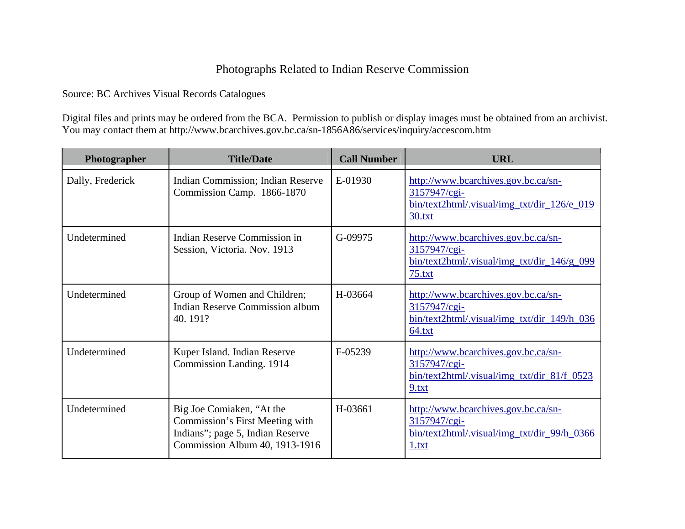## Photographs Related to Indian Reserve Commission

Source: BC Archives Visual Records Catalogues

Digital files and prints may be ordered from the BCA. Permission to publish or display images must be obtained from an archivist. You may contact them at http://www.bcarchives.gov.bc.ca/sn-1856A86/services/inquiry/accescom.htm

| Photographer     | <b>Title/Date</b>                                                                                                                  | <b>Call Number</b> | <b>URL</b>                                                                                                            |
|------------------|------------------------------------------------------------------------------------------------------------------------------------|--------------------|-----------------------------------------------------------------------------------------------------------------------|
| Dally, Frederick | <b>Indian Commission; Indian Reserve</b><br>Commission Camp. 1866-1870                                                             | E-01930            | http://www.bcarchives.gov.bc.ca/sn-<br>3157947/cgi-<br>bin/text2html/.visual/img_txt/dir_126/e_019<br>30.txt          |
| Undetermined     | Indian Reserve Commission in<br>Session, Victoria. Nov. 1913                                                                       | G-09975            | http://www.bcarchives.gov.bc.ca/sn-<br>3157947/cgi-<br>$bin/text2html/.,visual/img\_txt/dir_146/g_099$<br>75.txt      |
| Undetermined     | Group of Women and Children;<br><b>Indian Reserve Commission album</b><br>40.191?                                                  | H-03664            | http://www.bcarchives.gov.bc.ca/sn-<br>3157947/cgi-<br>bin/text2html/.visual/img_txt/dir_149/h_036<br>64.txt          |
| Undetermined     | Kuper Island. Indian Reserve<br>Commission Landing. 1914                                                                           | F-05239            | http://www.bcarchives.gov.bc.ca/sn-<br>3157947/cgi-<br>$bin/\text{text2}$ html/.visual/img_txt/dir_81/f_0523<br>9.txt |
| Undetermined     | Big Joe Comiaken, "At the<br>Commission's First Meeting with<br>Indians"; page 5, Indian Reserve<br>Commission Album 40, 1913-1916 | H-03661            | http://www.bcarchives.gov.bc.ca/sn-<br>3157947/cgi-<br>bin/text2html/.visual/img_txt/dir_99/h_0366<br>1.txt           |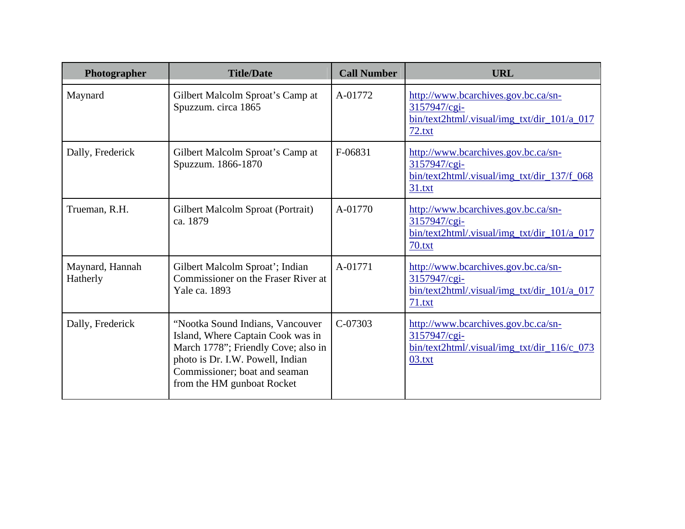| Photographer                | <b>Title/Date</b>                                                                                                                                                                                               | <b>Call Number</b> | <b>URL</b>                                                                                                       |
|-----------------------------|-----------------------------------------------------------------------------------------------------------------------------------------------------------------------------------------------------------------|--------------------|------------------------------------------------------------------------------------------------------------------|
| Maynard                     | Gilbert Malcolm Sproat's Camp at<br>Spuzzum. circa 1865                                                                                                                                                         | A-01772            | http://www.bcarchives.gov.bc.ca/sn-<br>3157947/cgi-<br>$bin/text2html/., visual/img_txt/dir_101/a_017$<br>72.txt |
| Dally, Frederick            | Gilbert Malcolm Sproat's Camp at<br>Spuzzum. 1866-1870                                                                                                                                                          | F-06831            | http://www.bcarchives.gov.bc.ca/sn-<br>3157947/cgi-<br>bin/text2html/.visual/img_txt/dir_137/f_068<br>31.txt     |
| Trueman, R.H.               | Gilbert Malcolm Sproat (Portrait)<br>ca. 1879                                                                                                                                                                   | A-01770            | http://www.bcarchives.gov.bc.ca/sn-<br>3157947/cgi-<br>bin/text2html/.visual/img_txt/dir_101/a_017<br>70.txt     |
| Maynard, Hannah<br>Hatherly | Gilbert Malcolm Sproat'; Indian<br>Commissioner on the Fraser River at<br>Yale ca. 1893                                                                                                                         | A-01771            | http://www.bcarchives.gov.bc.ca/sn-<br>3157947/cgi-<br>$bin/text2html/.visual/img_{txt/dir_101/a_017}$<br>71.txt |
| Dally, Frederick            | "Nootka Sound Indians, Vancouver<br>Island, Where Captain Cook was in<br>March 1778"; Friendly Cove; also in<br>photo is Dr. I.W. Powell, Indian<br>Commissioner; boat and seaman<br>from the HM gunboat Rocket | $C-07303$          | http://www.bcarchives.gov.bc.ca/sn-<br>3157947/cgi-<br>bin/text2html/.visual/img_txt/dir_116/c_073<br>03.txt     |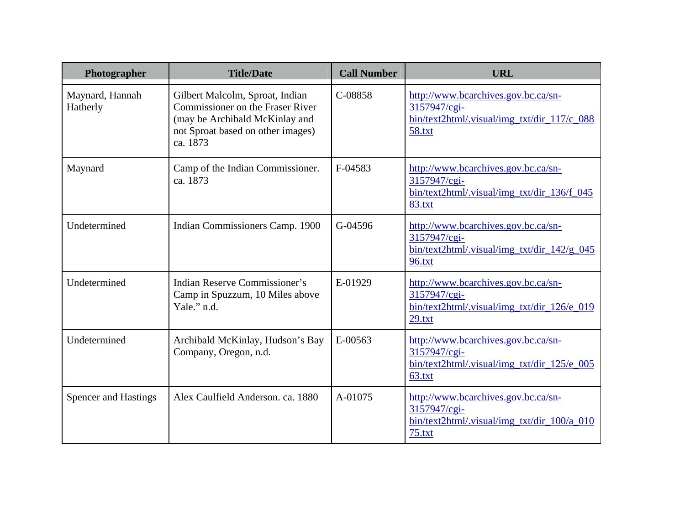| Photographer                | <b>Title/Date</b>                                                                                                                                      | <b>Call Number</b> | <b>URL</b>                                                                                                       |
|-----------------------------|--------------------------------------------------------------------------------------------------------------------------------------------------------|--------------------|------------------------------------------------------------------------------------------------------------------|
| Maynard, Hannah<br>Hatherly | Gilbert Malcolm, Sproat, Indian<br>Commissioner on the Fraser River<br>(may be Archibald McKinlay and<br>not Sproat based on other images)<br>ca. 1873 | C-08858            | http://www.bcarchives.gov.bc.ca/sn-<br>3157947/cgi-<br>bin/text2html/.visual/img_txt/dir_117/c_088<br>58.txt     |
| Maynard                     | Camp of the Indian Commissioner.<br>ca. 1873                                                                                                           | F-04583            | http://www.bcarchives.gov.bc.ca/sn-<br>3157947/cgi-<br>bin/text2html/.visual/img_txt/dir_136/f_045<br>83.txt     |
| Undetermined                | Indian Commissioners Camp. 1900                                                                                                                        | G-04596            | http://www.bcarchives.gov.bc.ca/sn-<br>3157947/cgi-<br>$bin/text2html/., visual/img_txt/dir_142/g_045$<br>96.txt |
| Undetermined                | Indian Reserve Commissioner's<br>Camp in Spuzzum, 10 Miles above<br>Yale." n.d.                                                                        | E-01929            | http://www.bcarchives.gov.bc.ca/sn-<br>3157947/cgi-<br>bin/text2html/.visual/img_txt/dir_126/e_019<br>29.txt     |
| Undetermined                | Archibald McKinlay, Hudson's Bay<br>Company, Oregon, n.d.                                                                                              | E-00563            | http://www.bcarchives.gov.bc.ca/sn-<br>3157947/cgi-<br>bin/text2html/.visual/img_txt/dir_125/e_005<br>63.txt     |
| <b>Spencer and Hastings</b> | Alex Caulfield Anderson. ca. 1880                                                                                                                      | A-01075            | http://www.bcarchives.gov.bc.ca/sn-<br>3157947/cgi-<br>bin/text2html/.visual/img_txt/dir_100/a_010<br>75.txt     |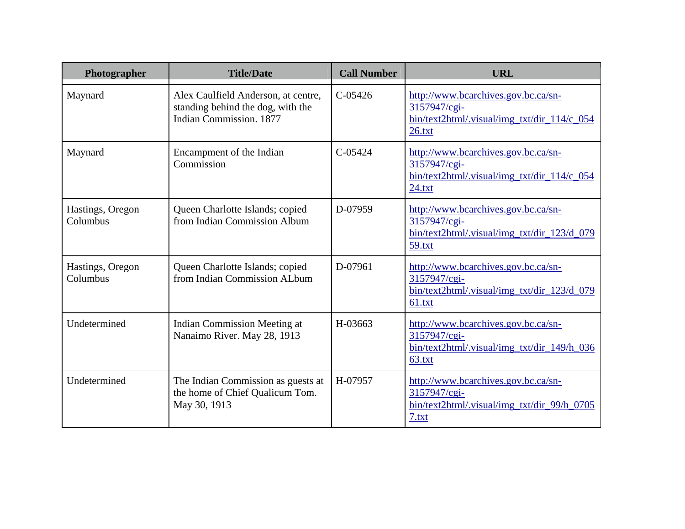| Photographer                 | <b>Title/Date</b>                                                                                   | <b>Call Number</b> | <b>URL</b>                                                                                                   |
|------------------------------|-----------------------------------------------------------------------------------------------------|--------------------|--------------------------------------------------------------------------------------------------------------|
| Maynard                      | Alex Caulfield Anderson, at centre,<br>standing behind the dog, with the<br>Indian Commission, 1877 | $C-05426$          | http://www.bcarchives.gov.bc.ca/sn-<br>3157947/cgi-<br>bin/text2html/.visual/img_txt/dir_114/c_054<br>26.txt |
| Maynard                      | Encampment of the Indian<br>Commission                                                              | $C-0.5424$         | http://www.bcarchives.gov.bc.ca/sn-<br>3157947/cgi-<br>bin/text2html/.visual/img_txt/dir_114/c_054<br>24.txt |
| Hastings, Oregon<br>Columbus | Queen Charlotte Islands; copied<br>from Indian Commission Album                                     | D-07959            | http://www.bcarchives.gov.bc.ca/sn-<br>3157947/cgi-<br>bin/text2html/.visual/img_txt/dir_123/d_079<br>59.txt |
| Hastings, Oregon<br>Columbus | Queen Charlotte Islands; copied<br>from Indian Commission ALbum                                     | D-07961            | http://www.bcarchives.gov.bc.ca/sn-<br>3157947/cgi-<br>bin/text2html/.visual/img_txt/dir_123/d_079<br>61.txt |
| Undetermined                 | Indian Commission Meeting at<br>Nanaimo River. May 28, 1913                                         | H-03663            | http://www.bcarchives.gov.bc.ca/sn-<br>3157947/cgi-<br>bin/text2html/.visual/img_txt/dir_149/h_036<br>63.txt |
| Undetermined                 | The Indian Commission as guests at<br>the home of Chief Qualicum Tom.<br>May 30, 1913               | H-07957            | http://www.bcarchives.gov.bc.ca/sn-<br>3157947/cgi-<br>bin/text2html/.visual/img_txt/dir_99/h_0705<br>7.txt  |